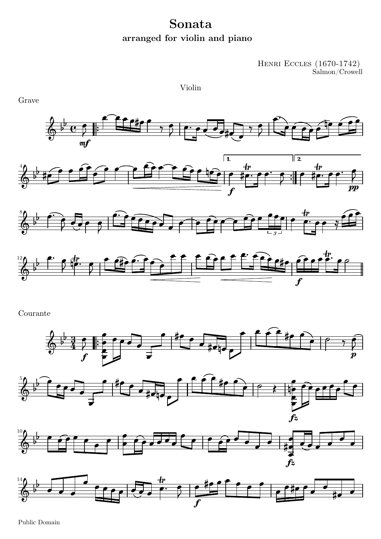## Sonata arranged for violin and piano

Violin

 $\begin{array}{c} {\rm HENRI\ \operatorname{ECCLES}\ (1670\text{-}1742)} \\ {\rm Salmon/ Crowell} \end{array}$ 



Courante









Public Domain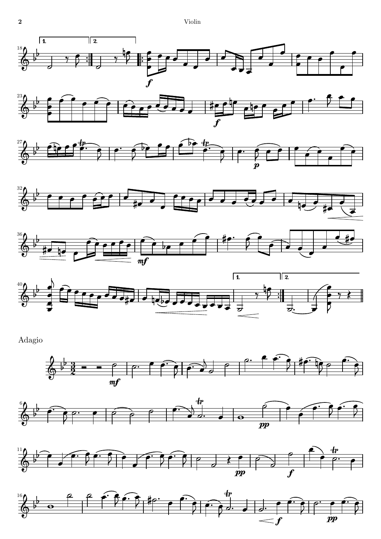











Adagio







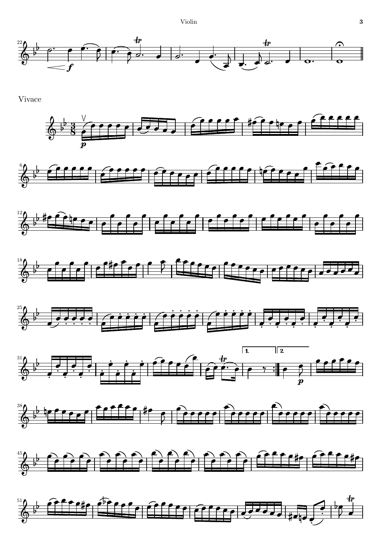Violin



Vivace